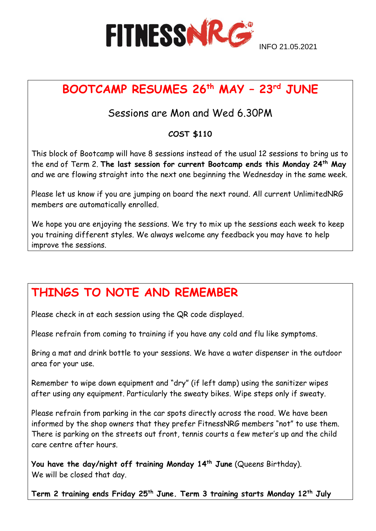

# **BOOTCAMP RESUMES 26th MAY – 23rd JUNE**

## Sessions are Mon and Wed 6.30PM

## **COST \$110**

This block of Bootcamp will have 8 sessions instead of the usual 12 sessions to bring us to the end of Term 2. **The last session for current Bootcamp ends this Monday 24th May** and we are flowing straight into the next one beginning the Wednesday in the same week.

Please let us know if you are jumping on board the next round. All current UnlimitedNRG members are automatically enrolled.

We hope you are enjoying the sessions. We try to mix up the sessions each week to keep you training different styles. We always welcome any feedback you may have to help improve the sessions.

## **THINGS TO NOTE AND REMEMBER**

Please check in at each session using the QR code displayed.

Please refrain from coming to training if you have any cold and flu like symptoms.

Bring a mat and drink bottle to your sessions. We have a water dispenser in the outdoor area for your use.

Remember to wipe down equipment and "dry" (if left damp) using the sanitizer wipes after using any equipment. Particularly the sweaty bikes. Wipe steps only if sweaty.

Please refrain from parking in the car spots directly across the road. We have been informed by the shop owners that they prefer FitnessNRG members "not" to use them. There is parking on the streets out front, tennis courts a few meter's up and the child care centre after hours.

**You have the day/night off training Monday 14th June** (Queens Birthday). We will be closed that day.

**Term 2 training ends Friday 25th June. Term 3 training starts Monday 12th July**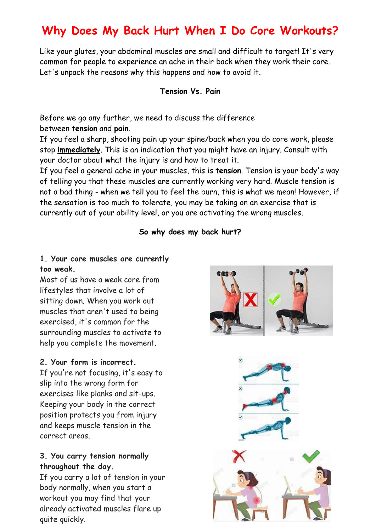## **Why Does My Back Hurt When I Do Core Workouts?**

Like your glutes, your abdominal muscles are small and difficult to target! It's very common for people to experience an ache in their back when they work their core. Let's unpack the reasons why this happens and how to avoid it.

#### **Tension Vs. Pain**

Before we go any further, we need to discuss the difference between **tension** and **pain**.

If you feel a sharp, shooting pain up your spine/back when you do core work, please stop **immediately**. This is an indication that you might have an injury. Consult with your doctor about what the injury is and how to treat it.

If you feel a general ache in your muscles, this is **tension**. Tension is your body's way of telling you that these muscles are currently working very hard. Muscle tension is not a bad thing - when we tell you to feel the burn, this is what we mean! However, if the sensation is too much to tolerate, you may be taking on an exercise that is currently out of your ability level, or you are activating the wrong muscles.

#### **So why does my back hurt?**

#### **1. Your core muscles are currently too weak.**

Most of us have a weak core from lifestyles that involve a lot of sitting down. When you work out muscles that aren't used to being exercised, it's common for the surrounding muscles to activate to help you complete the movement.

#### **2. Your form is incorrect.**

If you're not focusing, it's easy to slip into the wrong form for exercises like planks and sit-ups. Keeping your body in the correct position protects you from injury and keeps muscle tension in the correct areas.

#### **3. You carry tension normally throughout the day.**

If you carry a lot of tension in your body normally, when you start a workout you may find that your already activated muscles flare up quite quickly.